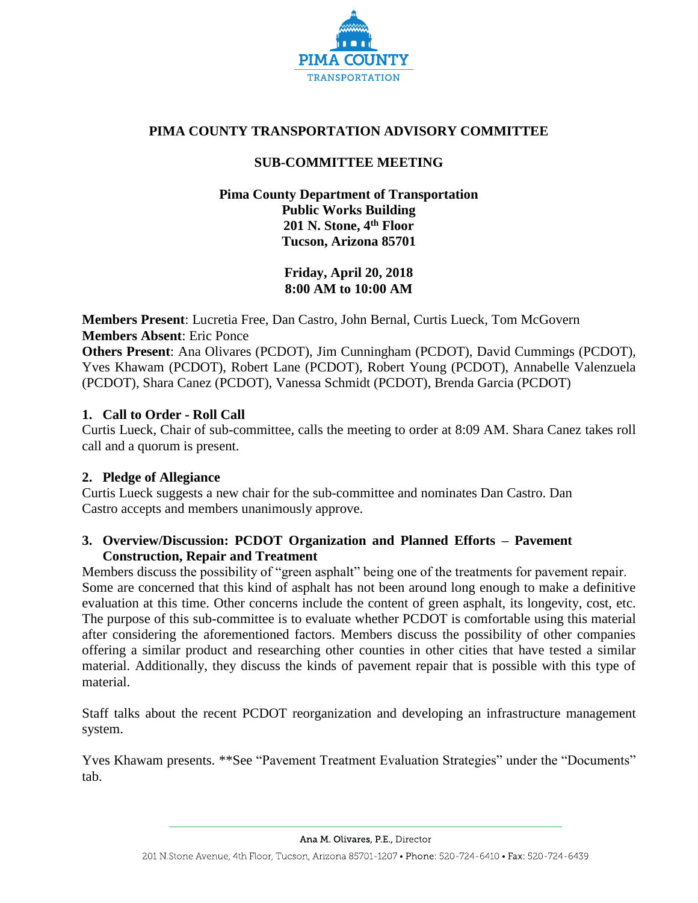

# **PIMA COUNTY TRANSPORTATION ADVISORY COMMITTEE**

# **SUB-COMMITTEE MEETING**

## **Pima County Department of Transportation Public Works Building 201 N. Stone, 4th Floor Tucson, Arizona 85701**

**Friday, April 20, 2018 8:00 AM to 10:00 AM**

**Members Present**: Lucretia Free, Dan Castro, John Bernal, Curtis Lueck, Tom McGovern **Members Absent**: Eric Ponce

**Others Present**: Ana Olivares (PCDOT), Jim Cunningham (PCDOT), David Cummings (PCDOT), Yves Khawam (PCDOT), Robert Lane (PCDOT), Robert Young (PCDOT), Annabelle Valenzuela (PCDOT), Shara Canez (PCDOT), Vanessa Schmidt (PCDOT), Brenda Garcia (PCDOT)

# **1. Call to Order - Roll Call**

Curtis Lueck, Chair of sub-committee, calls the meeting to order at 8:09 AM. Shara Canez takes roll call and a quorum is present.

### **2. Pledge of Allegiance**

Curtis Lueck suggests a new chair for the sub-committee and nominates Dan Castro. Dan Castro accepts and members unanimously approve.

# **3. Overview/Discussion: PCDOT Organization and Planned Efforts – Pavement Construction, Repair and Treatment**

Members discuss the possibility of "green asphalt" being one of the treatments for pavement repair. Some are concerned that this kind of asphalt has not been around long enough to make a definitive evaluation at this time. Other concerns include the content of green asphalt, its longevity, cost, etc. The purpose of this sub-committee is to evaluate whether PCDOT is comfortable using this material after considering the aforementioned factors. Members discuss the possibility of other companies offering a similar product and researching other counties in other cities that have tested a similar material. Additionally, they discuss the kinds of pavement repair that is possible with this type of material.

Staff talks about the recent PCDOT reorganization and developing an infrastructure management system.

Yves Khawam presents. \*\*See "Pavement Treatment Evaluation Strategies" under the "Documents" tab.